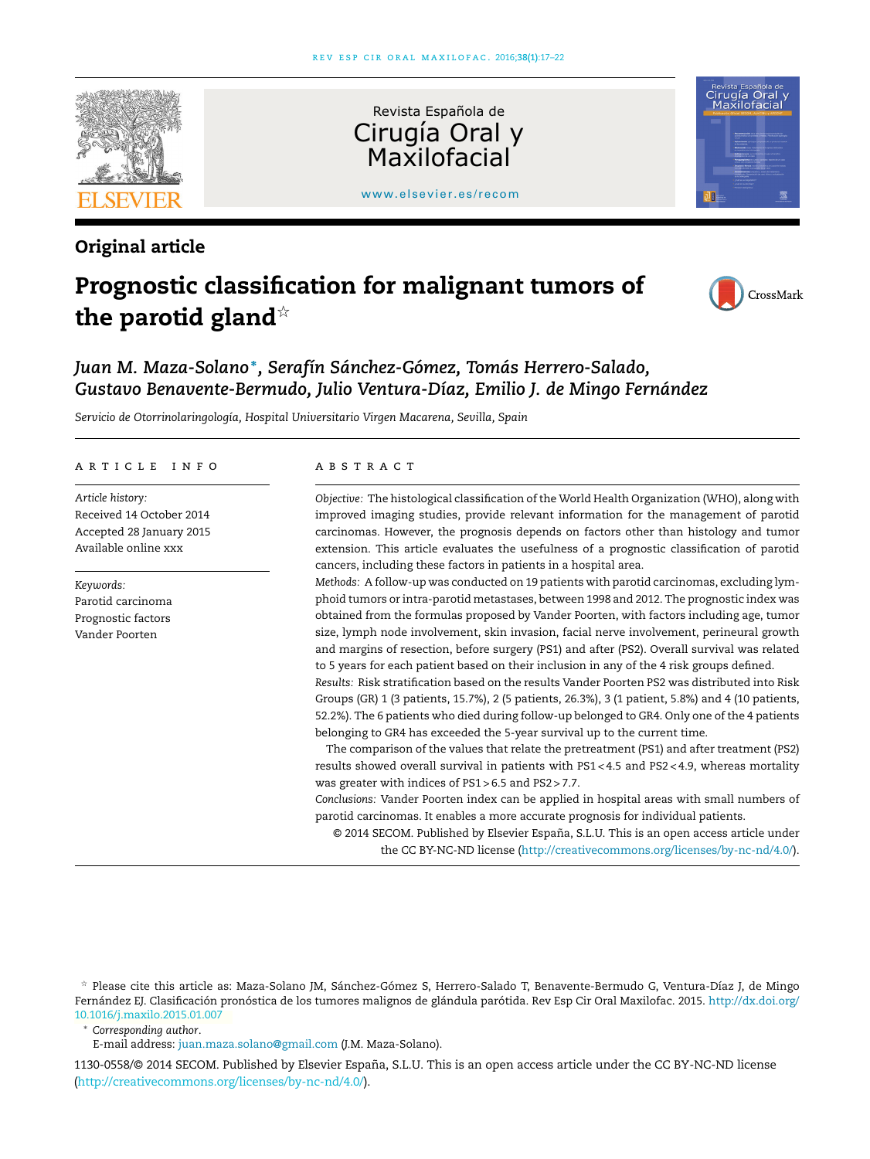

# Original article

# Prognostic classification for malignant tumors of the parotid gland $\dot{z}$



# *Juan M. Maza-Solano* <sup>∗</sup> *, Serafín Sánchez-Gómez, Tomás Herrero-Salado, Gustavo Benavente-Bermudo, Julio Ventura-Díaz, Emilio J. de Mingo Fernández*

*Servicio de Otorrinolaringología, Hospital Universitario Virgen Macarena, Sevilla, Spain*

#### a r t i c l e i n f o

*Article history:* Received 14 October 2014 Accepted 28 January 2015 Available online xxx

*Keywords:* Parotid carcinoma Prognostic factors Vander Poorten

#### A B S T R A C T

*Objective:* The histological classification of the World Health Organization (WHO), along with improved imaging studies, provide relevant information for the management of parotid carcinomas. However, the prognosis depends on factors other than histology and tumor extension. This article evaluates the usefulness of a prognostic classification of parotid cancers, including these factors in patients in a hospital area.

*Methods:* A follow-up was conducted on 19 patients with parotid carcinomas, excluding lymphoid tumors or intra-parotid metastases, between 1998 and 2012. The prognostic index was obtained from the formulas proposed by Vander Poorten, with factors including age, tumor size, lymph node involvement, skin invasion, facial nerve involvement, perineural growth and margins of resection, before surgery (PS1) and after (PS2). Overall survival was related to 5 years for each patient based on their inclusion in any of the 4 risk groups defined.

*Results:* Risk stratification based on the results Vander Poorten PS2 was distributed into Risk Groups (GR) 1 (3 patients, 15.7%), 2 (5 patients, 26.3%), 3 (1 patient, 5.8%) and 4 (10 patients, 52.2%). The 6 patients who died during follow-up belonged to GR4. Only one of the 4 patients belonging to GR4 has exceeded the 5-year survival up to the current time.

The comparison of the values that relate the pretreatment (PS1) and after treatment (PS2) results showed overall survival in patients with PS1 < 4.5 and PS2 < 4.9, whereas mortality was greater with indices of PS1 > 6.5 and PS2 > 7.7.

*Conclusions:* Vander Poorten index can be applied in hospital areas with small numbers of parotid carcinomas. It enables a more accurate prognosis for individual patients.

© 2014 SECOM. Published by Elsevier España, S.L.U. This is an open access article under the CC BY-NC-ND license (http://creativecommons.org/licenses/by-nc-nd/4.0/).

#### <sup>∗</sup> *Corresponding author*.

E-mail address: juan.maza.solano@gmail.com (J.M. Maza-Solano).

1130-0558/© 2014 SECOM. Published by Elsevier España, S.L.U. This is an open access article under the CC BY-NC-ND license (http://creativecommons.org/licenses/by-nc-nd/4.0/).

<sup>-</sup> Please cite this article as: Maza-Solano JM, Sánchez-Gómez S, Herrero-Salado T, Benavente-Bermudo G, Ventura-Díaz J, de Mingo Fernández EJ. Clasificación pronóstica de los tumores malignos de glándula parótida. Rev Esp Cir Oral Maxilofac. 2015. http://dx.doi.org/ 10.1016/j.maxilo.2015.01.005 10.1016/j.maxilo.2015.01.007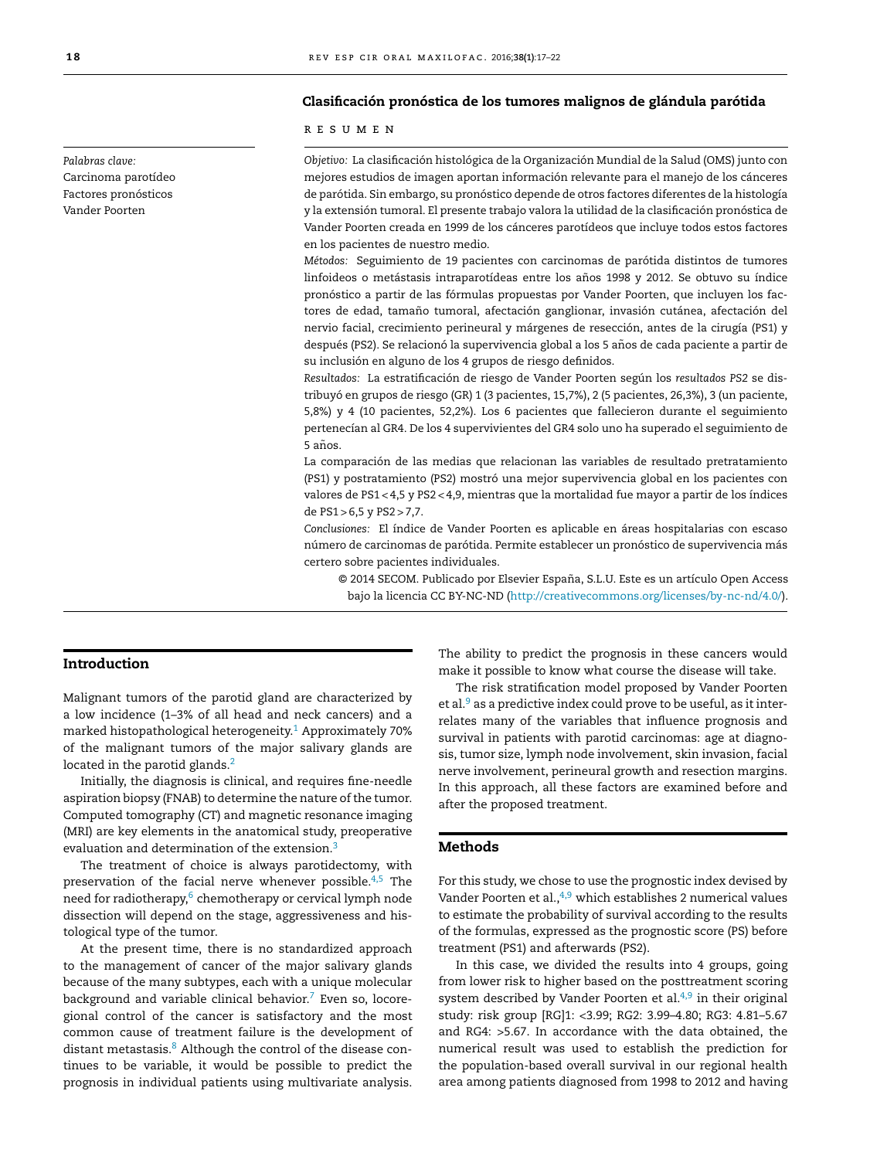#### Clasificación pronóstica de los tumores malignos de glándula parótida

#### r e s u m e n

*Objetivo:* La clasificación histológica de la Organización Mundial de la Salud (OMS) junto con mejores estudios de imagen aportan información relevante para el manejo de los cánceres de parótida. Sin embargo, su pronóstico depende de otros factores diferentes de la histología y la extensión tumoral. El presente trabajo valora la utilidad de la clasificación pronóstica de Vander Poorten creada en 1999 de los cánceres parotídeos que incluye todos estos factores en los pacientes de nuestro medio.

*Métodos:* Seguimiento de 19 pacientes con carcinomas de parótida distintos de tumores linfoideos o metástasis intraparotídeas entre los años 1998 y 2012. Se obtuvo su índice pronóstico a partir de las fórmulas propuestas por Vander Poorten, que incluyen los factores de edad, tamaño tumoral, afectación ganglionar, invasión cutánea, afectación del nervio facial, crecimiento perineural y márgenes de resección, antes de la cirugía (PS1) y después (PS2). Se relacionó la supervivencia global a los 5 años de cada paciente a partir de su inclusión en alguno de los 4 grupos de riesgo definidos.

*Resultados:* La estratificación de riesgo de Vander Poorten según los *resultados PS2* se distribuyó en grupos de riesgo (GR) 1 (3 pacientes, 15,7%), 2 (5 pacientes, 26,3%), 3 (un paciente, 5,8%) y 4 (10 pacientes, 52,2%). Los 6 pacientes que fallecieron durante el seguimiento pertenecían al GR4. De los 4 supervivientes del GR4 solo uno ha superado el seguimiento de 5 años.

La comparación de las medias que relacionan las variables de resultado pretratamiento (PS1) y postratamiento (PS2) mostró una mejor supervivencia global en los pacientes con valores de PS1 < 4,5 y PS2 < 4,9, mientras que la mortalidad fue mayor a partir de los índices de PS1 > 6,5 y PS2 > 7,7.

*Conclusiones:* El índice de Vander Poorten es aplicable en áreas hospitalarias con escaso número de carcinomas de parótida. Permite establecer un pronóstico de supervivencia más certero sobre pacientes individuales.

© 2014 SECOM. Publicado por Elsevier España, S.L.U. Este es un artículo Open Access bajo la licencia CC BY-NC-ND (http://creativecommons.org/licenses/by-nc-nd/4.0/).

#### Introduction

Malignant tumors of the parotid gland are characterized by a low incidence (1–3% of all head and neck cancers) and a marked histopathological heterogeneity.<sup>1</sup> Approximately 70% of the malignant tumors of the major salivary glands are located in the parotid glands.<sup>2</sup>

Initially, the diagnosis is clinical, and requires fine-needle aspiration biopsy (FNAB) to determine the nature of the tumor. Computed tomography (CT) and magnetic resonance imaging (MRI) are key elements in the anatomical study, preoperative evaluation and determination of the extension.<sup>3</sup>

The treatment of choice is always parotidectomy, with preservation of the facial nerve whenever possible. $4,5$  The need for radiotherapy,<sup>6</sup> chemotherapy or cervical lymph node dissection will depend on the stage, aggressiveness and histological type of the tumor.

At the present time, there is no standardized approach to the management of cancer of the major salivary glands because of the many subtypes, each with a unique molecular background and variable clinical behavior. $7$  Even so, locoregional control of the cancer is satisfactory and the most common cause of treatment failure is the development of distant metastasis.<sup>8</sup> Although the control of the disease continues to be variable, it would be possible to predict the prognosis in individual patients using multivariate analysis.

The ability to predict the prognosis in these cancers would make it possible to know what course the disease will take.

The risk stratification model proposed by Vander Poorten et al. $9$  as a predictive index could prove to be useful, as it interrelates many of the variables that influence prognosis and survival in patients with parotid carcinomas: age at diagnosis, tumor size, lymph node involvement, skin invasion, facial nerve involvement, perineural growth and resection margins. In this approach, all these factors are examined before and after the proposed treatment.

#### Methods

For this study, we chose to use the prognostic index devised by Vander Poorten et al., $4,9$  which establishes 2 numerical values to estimate the probability of survival according to the results of the formulas, expressed as the prognostic score (PS) before treatment (PS1) and afterwards (PS2).

In this case, we divided the results into 4 groups, going from lower risk to higher based on the posttreatment scoring system described by Vander Poorten et al. $4,9$  in their original study: risk group [RG]1: <3.99; RG2: 3.99–4.80; RG3: 4.81–5.67 and RG4: >5.67. In accordance with the data obtained, the numerical result was used to establish the prediction for the population-based overall survival in our regional health area among patients diagnosed from 1998 to 2012 and having

*Palabras clave:* Carcinoma parotídeo Factores pronósticos Vander Poorten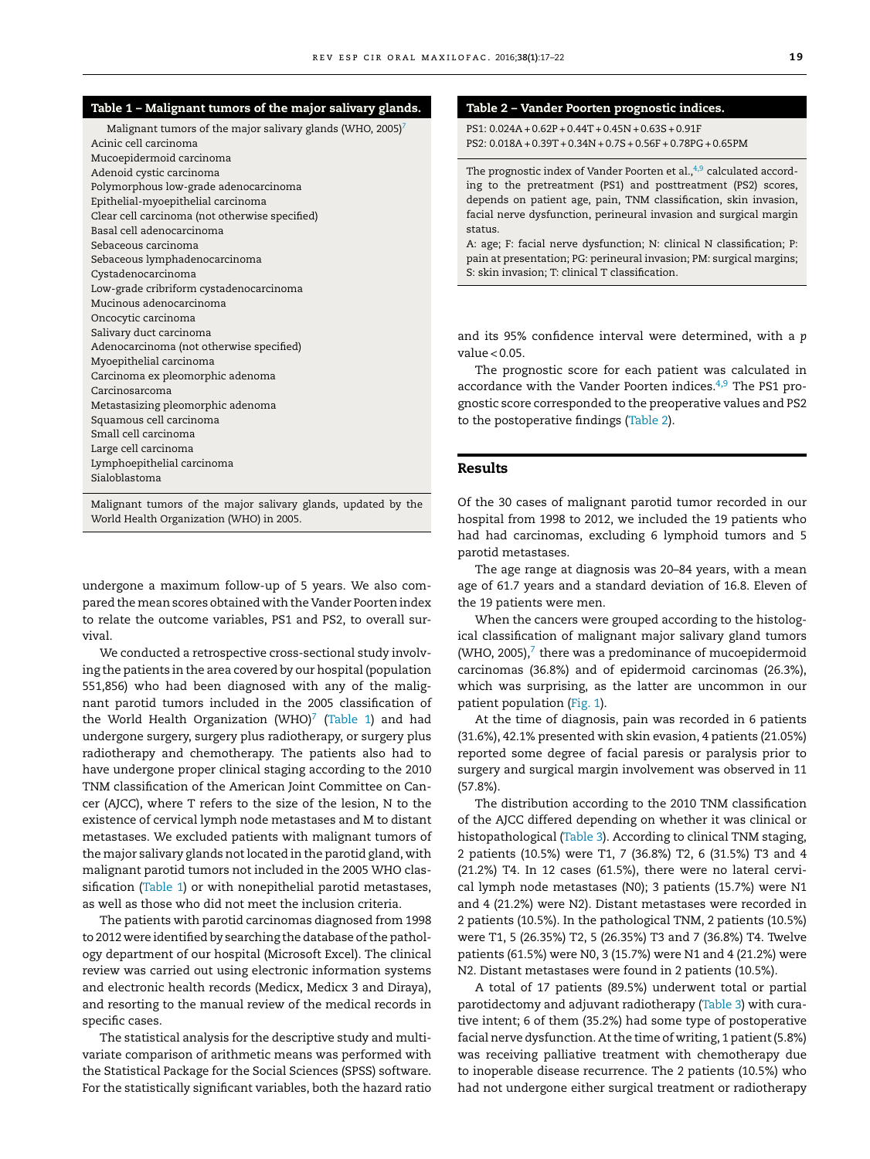#### Table 1 – Malignant tumors of the major salivary glands.

Malignant tumors of the major salivary glands (WHO, 2005)<sup>7</sup> Acinic cell carcinoma Mucoepidermoid carcinoma Adenoid cystic carcinoma Polymorphous low-grade adenocarcinoma Epithelial-myoepithelial carcinoma Clear cell carcinoma (not otherwise specified) Basal cell adenocarcinoma Sebaceous carcinoma Sebaceous lymphadenocarcinoma Cystadenocarcinoma Low-grade cribriform cystadenocarcinoma Mucinous adenocarcinoma Oncocytic carcinoma Salivary duct carcinoma Adenocarcinoma (not otherwise specified) Myoepithelial carcinoma Carcinoma ex pleomorphic adenoma Carcinosarcoma Metastasizing pleomorphic adenoma Squamous cell carcinoma Small cell carcinoma Large cell carcinoma Lymphoepithelial carcinoma Sialoblastoma

Malignant tumors of the major salivary glands, updated by the World Health Organization (WHO) in 2005.

undergone a maximum follow-up of 5 years. We also compared the mean scores obtained with the Vander Poorten index to relate the outcome variables, PS1 and PS2, to overall survival.

We conducted a retrospective cross-sectional study involving the patients in the area covered by our hospital (population 551,856) who had been diagnosed with any of the malignant parotid tumors included in the 2005 classification of the World Health Organization (WHO)<sup>7</sup> (Table 1) and had undergone surgery, surgery plus radiotherapy, or surgery plus radiotherapy and chemotherapy. The patients also had to have undergone proper clinical staging according to the 2010 TNM classification of the American Joint Committee on Cancer (AJCC), where T refers to the size of the lesion, N to the existence of cervical lymph node metastases and M to distant metastases. We excluded patients with malignant tumors of the major salivary glands not located in the parotid gland, with malignant parotid tumors not included in the 2005 WHO classification (Table 1) or with nonepithelial parotid metastases, as well as those who did not meet the inclusion criteria.

The patients with parotid carcinomas diagnosed from 1998 to 2012 were identified by searching the database of the pathology department of our hospital (Microsoft Excel). The clinical review was carried out using electronic information systems and electronic health records (Medicx, Medicx 3 and Diraya), and resorting to the manual review of the medical records in specific cases.

The statistical analysis for the descriptive study and multivariate comparison of arithmetic means was performed with the Statistical Package for the Social Sciences (SPSS) software. For the statistically significant variables, both the hazard ratio

## Table 2 – Vander Poorten prognostic indices.

PS1: 0.024A + 0.62P + 0.44T+ 0.45N + 0.63S + 0.91F PS2: 0.018A + 0.39T+ 0.34N + 0.7S + 0.56F + 0.78PG + 0.65PM

The prognostic index of Vander Poorten et al.,<sup>4,9</sup> calculated according to the pretreatment (PS1) and posttreatment (PS2) scores, depends on patient age, pain, TNM classification, skin invasion, facial nerve dysfunction, perineural invasion and surgical margin status.

A: age; F: facial nerve dysfunction; N: clinical N classification; P: pain at presentation; PG: perineural invasion; PM: surgical margins; S: skin invasion; T: clinical T classification.

and its 95% confidence interval were determined, with a *p* value < 0.05.

The prognostic score for each patient was calculated in accordance with the Vander Poorten indices. $4,9$  The PS1 prognostic score corresponded to the preoperative values and PS2 to the postoperative findings (Table 2).

## Results

Of the 30 cases of malignant parotid tumor recorded in our hospital from 1998 to 2012, we included the 19 patients who had had carcinomas, excluding 6 lymphoid tumors and 5 parotid metastases.

The age range at diagnosis was 20–84 years, with a mean age of 61.7 years and a standard deviation of 16.8. Eleven of the 19 patients were men.

When the cancers were grouped according to the histological classification of malignant major salivary gland tumors  $(WHO, 2005)$ , $7$  there was a predominance of mucoepidermoid carcinomas (36.8%) and of epidermoid carcinomas (26.3%), which was surprising, as the latter are uncommon in our patient population (Fig. 1).

At the time of diagnosis, pain was recorded in 6 patients (31.6%), 42.1% presented with skin evasion, 4 patients (21.05%) reported some degree of facial paresis or paralysis prior to surgery and surgical margin involvement was observed in 11 (57.8%).

The distribution according to the 2010 TNM classification of the AJCC differed depending on whether it was clinical or histopathological (Table 3). According to clinical TNM staging, 2 patients (10.5%) were T1, 7 (36.8%) T2, 6 (31.5%) T3 and 4 (21.2%) T4. In 12 cases (61.5%), there were no lateral cervical lymph node metastases (N0); 3 patients (15.7%) were N1 and 4 (21.2%) were N2). Distant metastases were recorded in 2 patients (10.5%). In the pathological TNM, 2 patients (10.5%) were T1, 5 (26.35%) T2, 5 (26.35%) T3 and 7 (36.8%) T4. Twelve patients (61.5%) were N0, 3 (15.7%) were N1 and 4 (21.2%) were N2. Distant metastases were found in 2 patients (10.5%).

A total of 17 patients (89.5%) underwent total or partial parotidectomy and adjuvant radiotherapy (Table 3) with curative intent; 6 of them (35.2%) had some type of postoperative facial nerve dysfunction. At the time of writing, 1 patient (5.8%) was receiving palliative treatment with chemotherapy due to inoperable disease recurrence. The 2 patients (10.5%) who had not undergone either surgical treatment or radiotherapy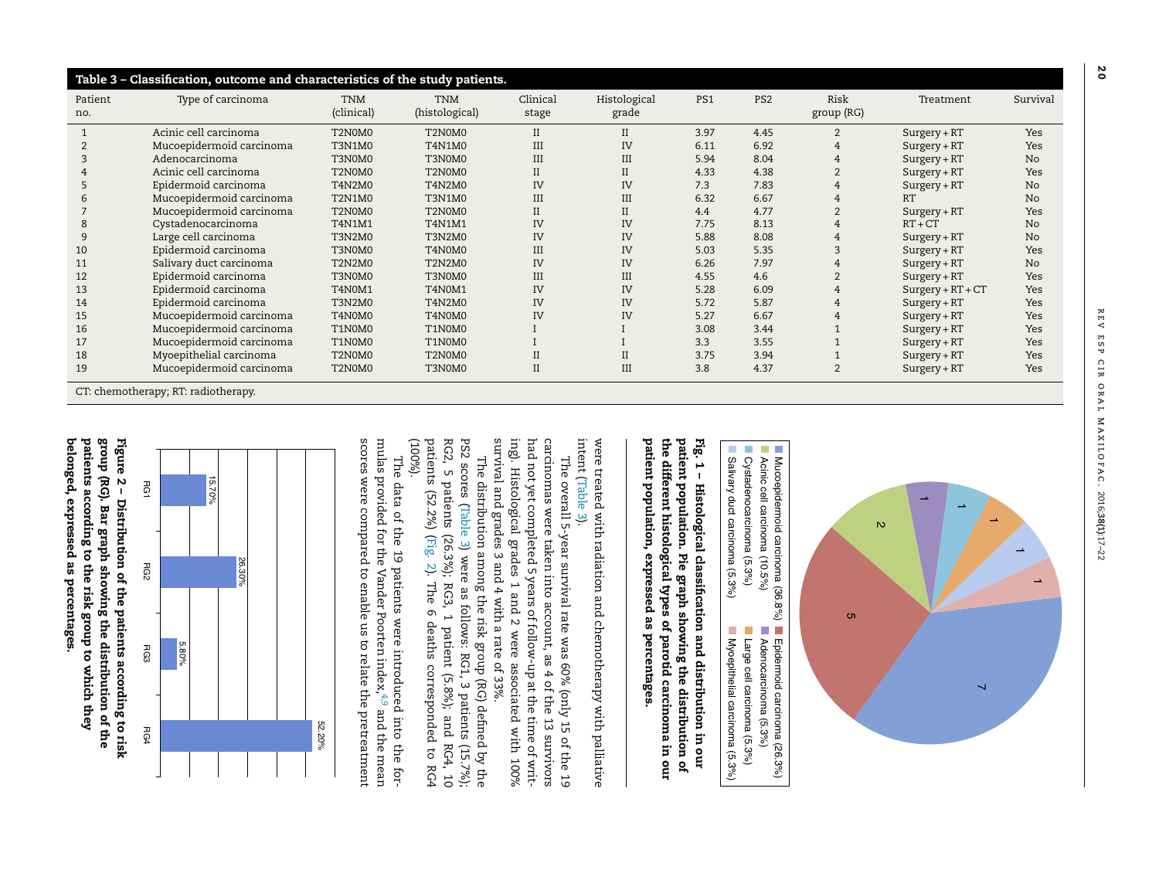| Table 3 - Classification, outcome and characteristics of the study patients. |                          |                          |                              |                     |                             |      |                 |                    |                     |                |  |
|------------------------------------------------------------------------------|--------------------------|--------------------------|------------------------------|---------------------|-----------------------------|------|-----------------|--------------------|---------------------|----------------|--|
| Patient<br>no.                                                               | Type of carcinoma        | <b>TNM</b><br>(clinical) | <b>TNM</b><br>(histological) | Clinical<br>stage   | Histological<br>grade       | PS1  | PS <sub>2</sub> | Risk<br>group (RG) | Treatment           | Survival       |  |
|                                                                              | Acinic cell carcinoma    | T2N0M0                   | T2N0M0                       | $_{\rm II}$         | $\rm II$                    | 3.97 | 4.45            | 2                  | $Surgery + RT$      | Yes            |  |
|                                                                              | Mucoepidermoid carcinoma | <b>T3N1M0</b>            | T4N1M0                       | III                 | IV                          | 6.11 | 6.92            |                    | $Surgery + RT$      | Yes            |  |
|                                                                              | Adenocarcinoma           | T3N0M0                   | T3N0M0                       | III                 | $\mathop{\rm III}\nolimits$ | 5.94 | 8.04            | 4                  | $Surgery + RT$      | No             |  |
|                                                                              | Acinic cell carcinoma    | T2N0M0                   | T2N0M0                       | $\overline{\rm II}$ | $\rm II$                    | 4.33 | 4.38            |                    | $Surgery + RT$      | Yes            |  |
|                                                                              | Epidermoid carcinoma     | T4N2M0                   | T4N2M0                       | IV                  | IV                          | 7.3  | 7.83            |                    | $Surgery + RT$      | No.            |  |
|                                                                              | Mucoepidermoid carcinoma | <b>T2N1M0</b>            | <b>T3N1M0</b>                | III                 | III                         | 6.32 | 6.67            |                    | RT                  | N <sub>o</sub> |  |
|                                                                              | Mucoepidermoid carcinoma | T2N0M0                   | T2N0M0                       | $\overline{\rm II}$ | $_{\rm II}$                 | 4.4  | 4.77            |                    | $Surgery + RT$      | Yes            |  |
| 8                                                                            | Cystadenocarcinoma       | T4N1M1                   | T4N1M1                       | IV                  | IV                          | 7.75 | 8.13            |                    | $RT + CT$           | N <sub>o</sub> |  |
| 9                                                                            | Large cell carcinoma     | T3N2M0                   | <b>T3N2M0</b>                | IV                  | IV                          | 5.88 | 8.08            | 4                  | $Surgery + RT$      | N <sub>o</sub> |  |
| 10                                                                           | Epidermoid carcinoma     | T3N0M0                   | T4N0M0                       | $\rm III$           | IV                          | 5.03 | 5.35            |                    | $Surgery + RT$      | Yes            |  |
| 11                                                                           | Salivary duct carcinoma  | T2N2M0                   | <b>T2N2M0</b>                | IV                  | IV                          | 6.26 | 7.97            | 4                  | $Surgery + RT$      | No.            |  |
| 12                                                                           | Epidermoid carcinoma     | T3N0M0                   | T3N0M0                       | $\rm III$           | III                         | 4.55 | 4.6             |                    | $Surgery + RT$      | Yes            |  |
| 13                                                                           | Epidermoid carcinoma     | <b>T4N0M1</b>            | T4N0M1                       | IV                  | IV                          | 5.28 | 6.09            | 4                  | $Surgery + RT + CT$ | Yes            |  |
| 14                                                                           | Epidermoid carcinoma     | T3N2M0                   | T4N2M0                       | IV                  | IV                          | 5.72 | 5.87            | 4                  | $Surgery + RT$      | Yes            |  |
| 15                                                                           | Mucoepidermoid carcinoma | T4N0M0                   | T4N0M0                       | IV                  | IV                          | 5.27 | 6.67            | 4                  | $Surgery + RT$      | Yes            |  |
| 16                                                                           | Mucoepidermoid carcinoma | T1N0M0                   | T1N0M0                       |                     |                             | 3.08 | 3.44            |                    | $Surgery + RT$      | Yes            |  |
| 17                                                                           | Mucoepidermoid carcinoma | T1N0M0                   | T1N0M0                       |                     |                             | 3.3  | 3.55            |                    | $Surgery + RT$      | Yes            |  |
| 18                                                                           | Myoepithelial carcinoma  | T2N0M0                   | T2N0M0                       | $\mathbf{I}$        | $\rm II$                    | 3.75 | 3.94            |                    | $Surgery + RT$      | Yes            |  |
| 19                                                                           | Mucoepidermoid carcinoma | T2N0M0                   | T3N0M0                       | $\mathbf{I}$        | III                         | 3.8  | 4.37            | 2                  | $Surgery + RT$      | Yes            |  |
| CT: chemotherapy; RT: radiotherapy.                                          |                          |                          |                              |                     |                             |      |                 |                    |                     |                |  |





Cystadenocarcinoma (5.3%)

Cystadenocarcinoma (5.3%)

Large cell carcinoma (5.3%)

Large cell carcinoma (5.3%)

 $\overline{\phantom{a}}$ 

the different histological types ቧ parotid carcinoma in our patient population, expressed a<br>G percentages.

were treated with radiation and chemotherapy with palliative intent (Table 3).

The overall 5-year survival rate was 60% (only 5 ቧ the 19 carcinomas were taken into account, as 4 of the ದ survivors had not yet completed 5 years ቧ follow-up ۹ the time ቧ<br>ሓ writing). Histological grades 1 and 2 were associated with 100% survival and grades 3 and 4 with a rate ቧ<br>ት 33%.

The distribution among the risk group (RG) defined ্ৰ the PS2 scores (Table ف were a<br>S follows: RG1, 3 patients (15.7%); RG2, ں patients (26.3%); RG3, ص patient (5.8%); and RG4, 10 patients (52.2%) (Fig. 2). The თ deaths corresponded to RG4 (100%).

The data ቧ<br>ሓ the 19 patients were introduced into the formulas provided for the Vander Poorten index,<del>م</del>، and the mean scores were compared to enable us to relate the pretreatment



group (RG). Bar graph showing the distribution ቧ the patients according to the risk group to which they belonged, expressed a<br>G percentages.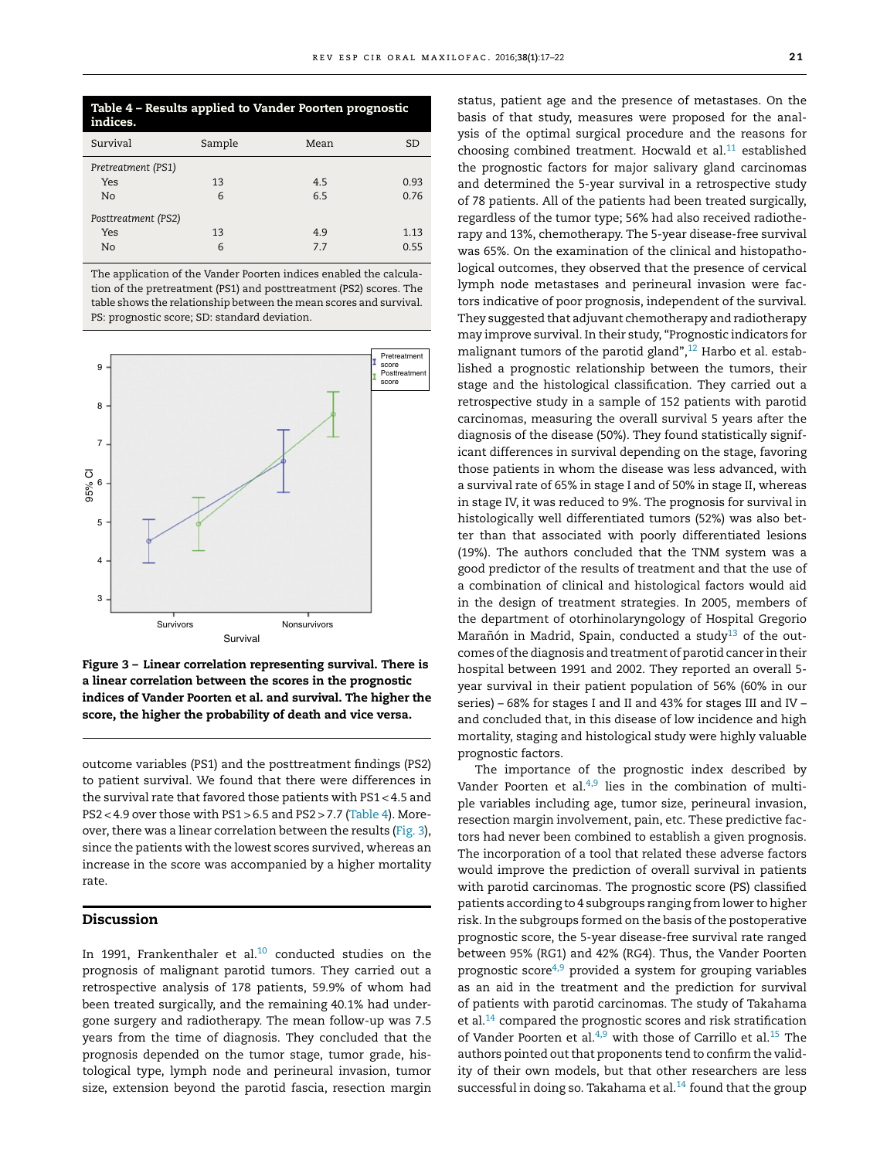| Table 4 - Results applied to Vander Poorten prognostic<br>indices. |        |      |      |  |  |  |  |  |
|--------------------------------------------------------------------|--------|------|------|--|--|--|--|--|
| Survival                                                           | Sample | Mean | SD   |  |  |  |  |  |
| Pretreatment (PS1)                                                 |        |      |      |  |  |  |  |  |
| Yes                                                                | 13     | 4.5  | 0.93 |  |  |  |  |  |
| No                                                                 | 6      | 6.5  | 0.76 |  |  |  |  |  |
| Posttreatment (PS2)                                                |        |      |      |  |  |  |  |  |
| Yes                                                                | 13     | 4.9  | 1.13 |  |  |  |  |  |
| No                                                                 | 6      | 77   | 0.55 |  |  |  |  |  |

The application of the Vander Poorten indices enabled the calculation of the pretreatment (PS1) and posttreatment (PS2) scores. The table shows the relationship between the mean scores and survival. PS: prognostic score; SD: standard deviation.



Figure 3 – Linear correlation representing survival. There is a linear correlation between the scores in the prognostic indices of Vander Poorten et al. and survival. The higher the score, the higher the probability of death and vice versa.

outcome variables (PS1) and the posttreatment findings (PS2) to patient survival. We found that there were differences in the survival rate that favored those patients with PS1 < 4.5 and PS2 < 4.9 over those with PS1 > 6.5 and PS2 > 7.7 (Table 4). Moreover, there was a linear correlation between the results (Fig. 3), since the patients with the lowest scores survived, whereas an increase in the score was accompanied by a higher mortality rate.

# Discussion

In 1991, Frankenthaler et al. $10$  conducted studies on the prognosis of malignant parotid tumors. They carried out a retrospective analysis of 178 patients, 59.9% of whom had been treated surgically, and the remaining 40.1% had undergone surgery and radiotherapy. The mean follow-up was 7.5 years from the time of diagnosis. They concluded that the prognosis depended on the tumor stage, tumor grade, histological type, lymph node and perineural invasion, tumor size, extension beyond the parotid fascia, resection margin

status, patient age and the presence of metastases. On the basis of that study, measures were proposed for the analysis of the optimal surgical procedure and the reasons for choosing combined treatment. Hocwald et al. $^{11}$  established the prognostic factors for major salivary gland carcinomas and determined the 5-year survival in a retrospective study of 78 patients. All of the patients had been treated surgically, regardless of the tumor type; 56% had also received radiotherapy and 13%, chemotherapy. The 5-year disease-free survival was 65%. On the examination of the clinical and histopathological outcomes, they observed that the presence of cervical lymph node metastases and perineural invasion were factors indicative of poor prognosis, independent of the survival. They suggested that adjuvant chemotherapy and radiotherapy may improve survival. In their study, "Prognostic indicators for malignant tumors of the parotid gland", $12$  Harbo et al. established a prognostic relationship between the tumors, their stage and the histological classification. They carried out a retrospective study in a sample of 152 patients with parotid carcinomas, measuring the overall survival 5 years after the diagnosis of the disease (50%). They found statistically significant differences in survival depending on the stage, favoring those patients in whom the disease was less advanced, with a survival rate of 65% in stage I and of 50% in stage II, whereas in stage IV, it was reduced to 9%. The prognosis for survival in histologically well differentiated tumors (52%) was also better than that associated with poorly differentiated lesions (19%). The authors concluded that the TNM system was a good predictor of the results of treatment and that the use of a combination of clinical and histological factors would aid in the design of treatment strategies. In 2005, members of the department of otorhinolaryngology of Hospital Gregorio Marañón in Madrid, Spain, conducted a study $^{13}$  of the outcomes ofthe diagnosis and treatment of parotid cancer in their hospital between 1991 and 2002. They reported an overall 5 year survival in their patient population of 56% (60% in our series) – 68% for stages I and II and 43% for stages III and IV – and concluded that, in this disease of low incidence and high mortality, staging and histological study were highly valuable prognostic factors.

The importance of the prognostic index described by Vander Poorten et al. $4,9$  lies in the combination of multiple variables including age, tumor size, perineural invasion, resection margin involvement, pain, etc. These predictive factors had never been combined to establish a given prognosis. The incorporation of a tool that related these adverse factors would improve the prediction of overall survival in patients with parotid carcinomas. The prognostic score (PS) classified patients according to 4 subgroups ranging from lower to higher risk. In the subgroups formed on the basis of the postoperative prognostic score, the 5-year disease-free survival rate ranged between 95% (RG1) and 42% (RG4). Thus, the Vander Poorten prognostic score<sup>4,9</sup> provided a system for grouping variables as an aid in the treatment and the prediction for survival of patients with parotid carcinomas. The study of Takahama et al.<sup>14</sup> compared the prognostic scores and risk stratification of Vander Poorten et al. $4,9$  with those of Carrillo et al.<sup>15</sup> The authors pointed out that proponents tend to confirm the validity of their own models, but that other researchers are less successful in doing so. Takahama et al. $^{14}$  found that the group